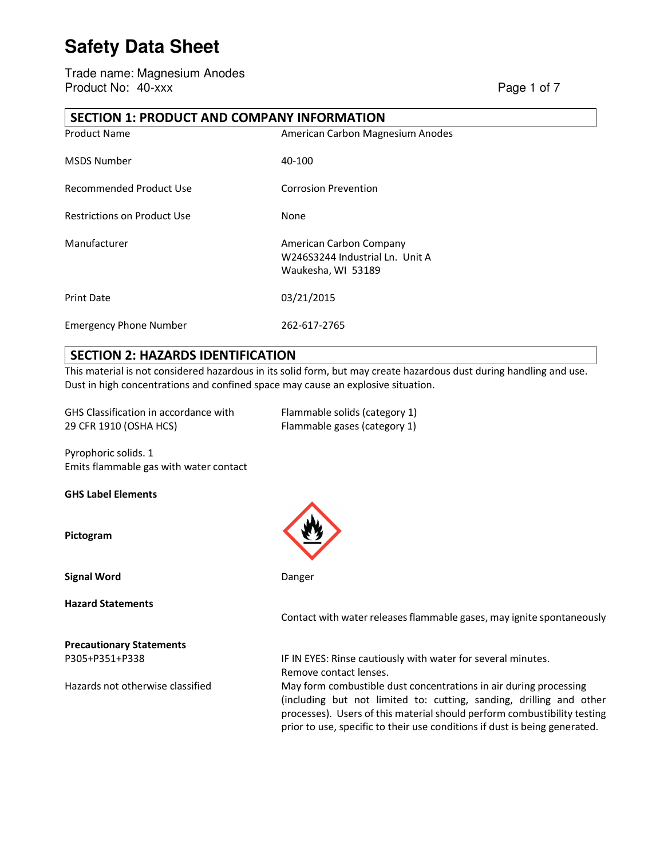Trade name: Magnesium Anodes Product No: 40-xxx Page 1 of 7

#### **SECTION 1: PRODUCT AND COMPANY INFORMATION**

| <b>Product Name</b>                | American Carbon Magnesium Anodes                                                 |
|------------------------------------|----------------------------------------------------------------------------------|
| <b>MSDS Number</b>                 | 40-100                                                                           |
| Recommended Product Use            | <b>Corrosion Prevention</b>                                                      |
| <b>Restrictions on Product Use</b> | None                                                                             |
| Manufacturer                       | American Carbon Company<br>W246S3244 Industrial Ln. Unit A<br>Waukesha, WI 53189 |
| <b>Print Date</b>                  | 03/21/2015                                                                       |
| <b>Emergency Phone Number</b>      | 262-617-2765                                                                     |

#### **SECTION 2: HAZARDS IDENTIFICATION**

This material is not considered hazardous in its solid form, but may create hazardous dust during handling and use. Dust in high concentrations and confined space may cause an explosive situation.

GHS Classification in accordance with Flammable solids (category 1) 29 CFR 1910 (OSHA HCS) Flammable gases (category 1)

Pyrophoric solids. 1 Emits flammable gas with water contact

**GHS Label Elements** 

**Pictogram** 

**Signal Word Danger Danger Danger Danger** 

**Hazard Statements** 

**Precautionary Statements** 



Contact with water releases flammable gases, may ignite spontaneously

P305+P351+P338 IF IN EYES: Rinse cautiously with water for several minutes. Remove contact lenses.

Hazards not otherwise classified May form combustible dust concentrations in air during processing (including but not limited to: cutting, sanding, drilling and other processes). Users of this material should perform combustibility testing prior to use, specific to their use conditions if dust is being generated.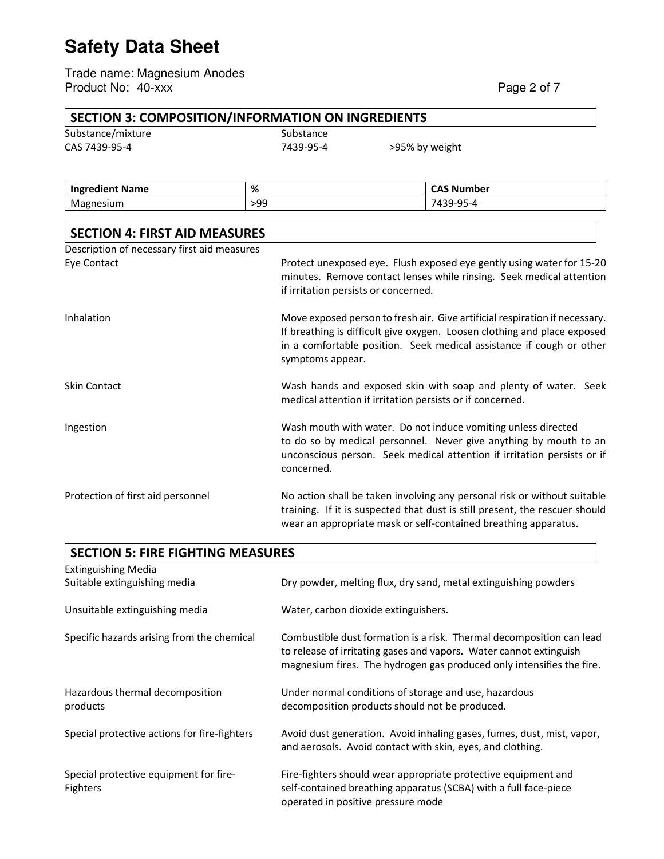Trade name: Magnesium Anodes Product No: 40-xxx Page 2 of 7

# **SECTION 3: COMPOSITION/INFORMATION ON INGREDIENTS**<br>Substance Substance

Substance/mixture

| <b>SUDSLATIL</b> |
|------------------|
| 7439-95-         |

CAS 7439-95-4 7439-95-4 >95% by weight

| <b>Ingredient Name</b> | %   | σΔς<br>. Number<br>נרש               |
|------------------------|-----|--------------------------------------|
| Mag<br>nesium          | >99 | $\sim$ $\sim$<br>4-45-4<br><u>JJ</u> |

| <b>SECTION 4: FIRST AID MEASURES</b>        |                                                                                                                                                                                                                                                     |
|---------------------------------------------|-----------------------------------------------------------------------------------------------------------------------------------------------------------------------------------------------------------------------------------------------------|
| Description of necessary first aid measures |                                                                                                                                                                                                                                                     |
| Eye Contact                                 | Protect unexposed eye. Flush exposed eye gently using water for 15-20<br>minutes. Remove contact lenses while rinsing. Seek medical attention<br>if irritation persists or concerned.                                                               |
| Inhalation                                  | Move exposed person to fresh air. Give artificial respiration if necessary.<br>If breathing is difficult give oxygen. Loosen clothing and place exposed<br>in a comfortable position. Seek medical assistance if cough or other<br>symptoms appear. |
| <b>Skin Contact</b>                         | Wash hands and exposed skin with soap and plenty of water. Seek<br>medical attention if irritation persists or if concerned.                                                                                                                        |
| Ingestion                                   | Wash mouth with water. Do not induce vomiting unless directed<br>to do so by medical personnel. Never give anything by mouth to an<br>unconscious person. Seek medical attention if irritation persists or if<br>concerned.                         |
| Protection of first aid personnel           | No action shall be taken involving any personal risk or without suitable<br>training. If it is suspected that dust is still present, the rescuer should<br>wear an appropriate mask or self-contained breathing apparatus.                          |

| <b>SECTION 5: FIRE FIGHTING MEASURES</b>           |                                                                                                                                                                                                                     |
|----------------------------------------------------|---------------------------------------------------------------------------------------------------------------------------------------------------------------------------------------------------------------------|
| <b>Extinguishing Media</b>                         |                                                                                                                                                                                                                     |
| Suitable extinguishing media                       | Dry powder, melting flux, dry sand, metal extinguishing powders                                                                                                                                                     |
| Unsuitable extinguishing media                     | Water, carbon dioxide extinguishers.                                                                                                                                                                                |
| Specific hazards arising from the chemical         | Combustible dust formation is a risk. Thermal decomposition can lead<br>to release of irritating gases and vapors. Water cannot extinguish<br>magnesium fires. The hydrogen gas produced only intensifies the fire. |
| Hazardous thermal decomposition<br>products        | Under normal conditions of storage and use, hazardous<br>decomposition products should not be produced.                                                                                                             |
| Special protective actions for fire-fighters       | Avoid dust generation. Avoid inhaling gases, fumes, dust, mist, vapor,<br>and aerosols. Avoid contact with skin, eyes, and clothing.                                                                                |
| Special protective equipment for fire-<br>Fighters | Fire-fighters should wear appropriate protective equipment and<br>self-contained breathing apparatus (SCBA) with a full face-piece<br>operated in positive pressure mode                                            |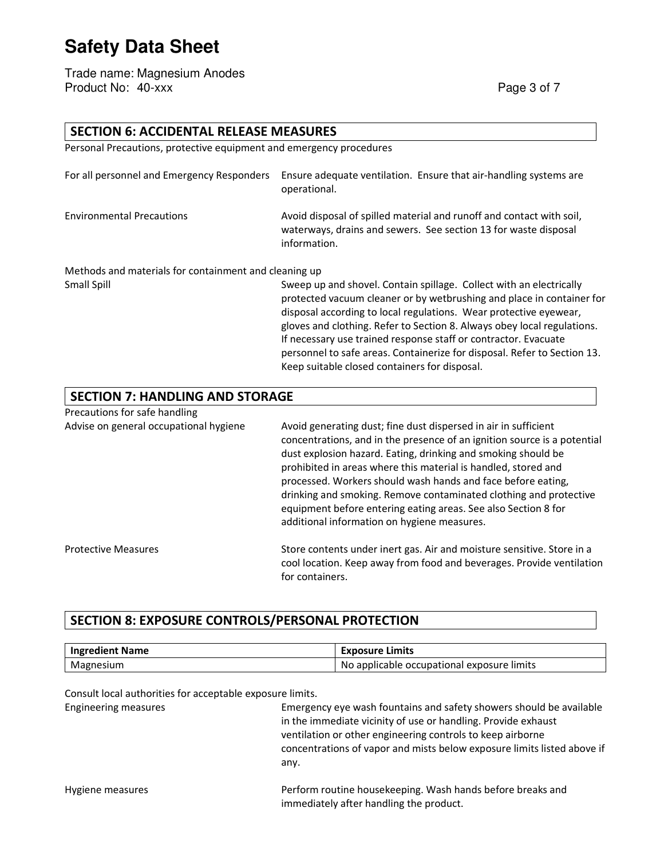Trade name: Magnesium Anodes Product No: 40-xxx Page 3 of 7

| <b>SECTION 6: ACCIDENTAL RELEASE MEASURES</b>                       |                                                                                                                                                                                                                                                                                                                                                                                                                                                                                              |
|---------------------------------------------------------------------|----------------------------------------------------------------------------------------------------------------------------------------------------------------------------------------------------------------------------------------------------------------------------------------------------------------------------------------------------------------------------------------------------------------------------------------------------------------------------------------------|
| Personal Precautions, protective equipment and emergency procedures |                                                                                                                                                                                                                                                                                                                                                                                                                                                                                              |
| For all personnel and Emergency Responders                          | Ensure adequate ventilation. Ensure that air-handling systems are<br>operational.                                                                                                                                                                                                                                                                                                                                                                                                            |
| <b>Environmental Precautions</b>                                    | Avoid disposal of spilled material and runoff and contact with soil,<br>waterways, drains and sewers. See section 13 for waste disposal<br>information.                                                                                                                                                                                                                                                                                                                                      |
| Methods and materials for containment and cleaning up               |                                                                                                                                                                                                                                                                                                                                                                                                                                                                                              |
| Small Spill                                                         | Sweep up and shovel. Contain spillage. Collect with an electrically<br>protected vacuum cleaner or by wetbrushing and place in container for<br>disposal according to local regulations. Wear protective eyewear,<br>gloves and clothing. Refer to Section 8. Always obey local regulations.<br>If necessary use trained response staff or contractor. Evacuate<br>personnel to safe areas. Containerize for disposal. Refer to Section 13.<br>Keep suitable closed containers for disposal. |
| <b>SECTION 7: HANDLING AND STORAGE</b>                              |                                                                                                                                                                                                                                                                                                                                                                                                                                                                                              |
| Precautions for safe handling                                       |                                                                                                                                                                                                                                                                                                                                                                                                                                                                                              |
| Advise on general occupational hygiene                              | Avoid generating dust; fine dust dispersed in air in sufficient<br>concentrations, and in the presence of an ignition source is a potential<br>dust explosion hazard. Eating, drinking and smoking should be<br>prohibited in areas where this material is handled, stored and<br>processed. Workers should wash hands and face before eating,<br>drinking and smoking. Remove contaminated clothing and protective<br>equipment before entering eating areas. See also Section 8 for        |

Protective Measures Store Store contents under inert gas. Air and moisture sensitive. Store in a cool location. Keep away from food and beverages. Provide ventilation for containers.

additional information on hygiene measures.

#### **SECTION 8: EXPOSURE CONTROLS/PERSONAL PROTECTION**

| <b>Ingredient Name</b> | <b>Exposure Limits</b>                       |
|------------------------|----------------------------------------------|
| Magnesium              | I No applicable occupational exposure limits |

Consult local authorities for acceptable exposure limits.

| <b>Engineering measures</b> | Emergency eye wash fountains and safety showers should be available<br>in the immediate vicinity of use or handling. Provide exhaust<br>ventilation or other engineering controls to keep airborne<br>concentrations of vapor and mists below exposure limits listed above if<br>any. |
|-----------------------------|---------------------------------------------------------------------------------------------------------------------------------------------------------------------------------------------------------------------------------------------------------------------------------------|
| Hygiene measures            | Perform routine housekeeping. Wash hands before breaks and<br>immediately after handling the product.                                                                                                                                                                                 |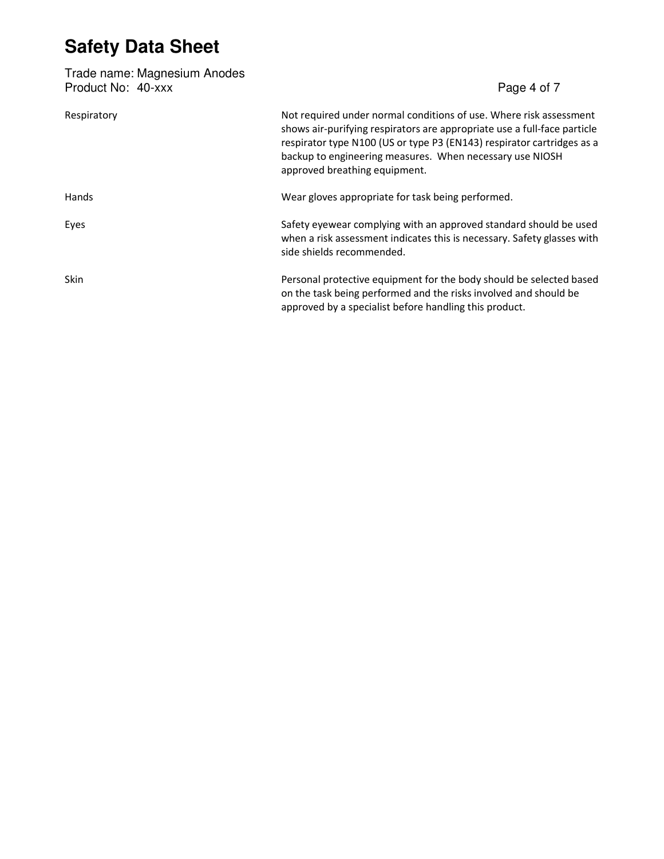| Trade name: Magnesium Anodes<br>Product No: 40-xxx | Page 4 of 7                                                                                                                                                                                                                                                                                                           |
|----------------------------------------------------|-----------------------------------------------------------------------------------------------------------------------------------------------------------------------------------------------------------------------------------------------------------------------------------------------------------------------|
| Respiratory                                        | Not required under normal conditions of use. Where risk assessment<br>shows air-purifying respirators are appropriate use a full-face particle<br>respirator type N100 (US or type P3 (EN143) respirator cartridges as a<br>backup to engineering measures. When necessary use NIOSH<br>approved breathing equipment. |
| Hands                                              | Wear gloves appropriate for task being performed.                                                                                                                                                                                                                                                                     |
| Eyes                                               | Safety eyewear complying with an approved standard should be used<br>when a risk assessment indicates this is necessary. Safety glasses with<br>side shields recommended.                                                                                                                                             |
| <b>Skin</b>                                        | Personal protective equipment for the body should be selected based<br>on the task being performed and the risks involved and should be<br>approved by a specialist before handling this product.                                                                                                                     |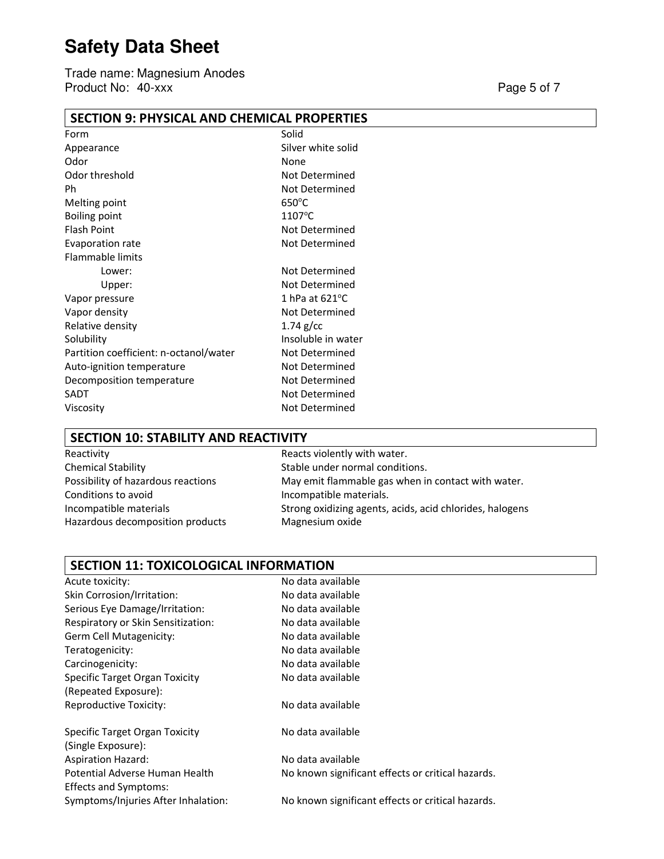Trade name: Magnesium Anodes Product No: 40-xxx Page 5 of 7

#### **SECTION 9: PHYSICAL AND CHEMICAL PROPERTIES**

| Form                                   | Solid                    |
|----------------------------------------|--------------------------|
| Appearance                             | Silver white solid       |
| Odor                                   | None                     |
| Odor threshold                         | Not Determined           |
| Ph                                     | Not Determined           |
| Melting point                          | $650^{\circ}$ C          |
| <b>Boiling point</b>                   | $1107^{\circ}$ C         |
| <b>Flash Point</b>                     | Not Determined           |
| Evaporation rate                       | Not Determined           |
| <b>Flammable limits</b>                |                          |
| Lower:                                 | Not Determined           |
| Upper:                                 | <b>Not Determined</b>    |
| Vapor pressure                         | 1 hPa at $621^{\circ}$ C |
| Vapor density                          | Not Determined           |
| Relative density                       | $1.74$ g/cc              |
| Solubility                             | Insoluble in water       |
| Partition coefficient: n-octanol/water | Not Determined           |
| Auto-ignition temperature              | Not Determined           |
| Decomposition temperature              | Not Determined           |
| SADT                                   | Not Determined           |
| Viscosity                              | Not Determined           |
|                                        |                          |

#### **SECTION 10: STABILITY AND REACTIVITY**

| Reactivity                         |
|------------------------------------|
| <b>Chemical Stability</b>          |
| Possibility of hazardous reactions |
| Conditions to avoid                |
| Incompatible materials             |
| Hazardous decomposition products   |
|                                    |

Reacts violently with water. Stable under normal conditions. May emit flammable gas when in contact with water. Incompatible materials. Strong oxidizing agents, acids, acid chlorides, halogens Magnesium oxide

#### **SECTION 11: TOXICOLOGICAL INFORMATION**

| Acute toxicity:                       | No data available                                 |
|---------------------------------------|---------------------------------------------------|
| Skin Corrosion/Irritation:            | No data available                                 |
| Serious Eye Damage/Irritation:        | No data available                                 |
| Respiratory or Skin Sensitization:    | No data available                                 |
| Germ Cell Mutagenicity:               | No data available                                 |
| Teratogenicity:                       | No data available                                 |
| Carcinogenicity:                      | No data available                                 |
| <b>Specific Target Organ Toxicity</b> | No data available                                 |
| (Repeated Exposure):                  |                                                   |
| <b>Reproductive Toxicity:</b>         | No data available                                 |
| <b>Specific Target Organ Toxicity</b> | No data available                                 |
| (Single Exposure):                    |                                                   |
| <b>Aspiration Hazard:</b>             | No data available                                 |
| Potential Adverse Human Health        | No known significant effects or critical hazards. |
| <b>Effects and Symptoms:</b>          |                                                   |
| Symptoms/Injuries After Inhalation:   | No known significant effects or critical hazards. |
|                                       |                                                   |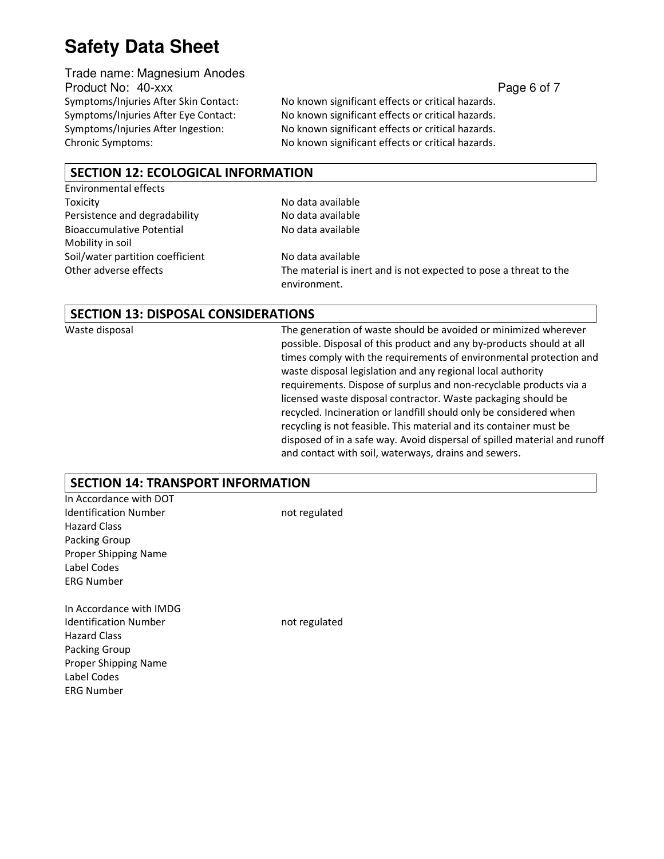Trade name: Magnesium Anodes Product No: 40-xxx **Page 6 of 7** and 200 and 200 and 200 and 200 and 200 and 200 and 200 and 200 and 200 and 200 and 200 and 200 and 200 and 200 and 200 and 200 and 200 and 200 and 200 and 200 and 200 and 200 and 200 and 2

Symptoms/Injuries After Skin Contact: No known significant effects or critical hazards. Symptoms/Injuries After Eye Contact: No known significant effects or critical hazards. Symptoms/Injuries After Ingestion: No known significant effects or critical hazards. Chronic Symptoms: No known significant effects or critical hazards.

#### **SECTION 12: ECOLOGICAL INFORMATION**

Environmental effects Toxicity **No data available** Persistence and degradability No data available Bioaccumulative Potential No data available Mobility in soil Soil/water partition coefficient No data available

Other adverse effects The material is inert and is not expected to pose a threat to the environment.

#### **SECTION 13: DISPOSAL CONSIDERATIONS**

Waste disposal The generation of waste should be avoided or minimized wherever possible. Disposal of this product and any by-products should at all times comply with the requirements of environmental protection and waste disposal legislation and any regional local authority requirements. Dispose of surplus and non-recyclable products via a licensed waste disposal contractor. Waste packaging should be recycled. Incineration or landfill should only be considered when recycling is not feasible. This material and its container must be disposed of in a safe way. Avoid dispersal of spilled material and runoff and contact with soil, waterways, drains and sewers.

#### **SECTION 14: TRANSPORT INFORMATION**

| In Accordance with DOT       |               |  |
|------------------------------|---------------|--|
| <b>Identification Number</b> | not regulated |  |
| <b>Hazard Class</b>          |               |  |
| Packing Group                |               |  |
| Proper Shipping Name         |               |  |
| Label Codes                  |               |  |
| <b>ERG Number</b>            |               |  |
| In Accordance with IMDG      |               |  |
| <b>Identification Number</b> | not regulated |  |
| <b>Hazard Class</b>          |               |  |
| Packing Group                |               |  |
| Proper Shipping Name         |               |  |
| Label Codes                  |               |  |
| <b>ERG Number</b>            |               |  |
|                              |               |  |